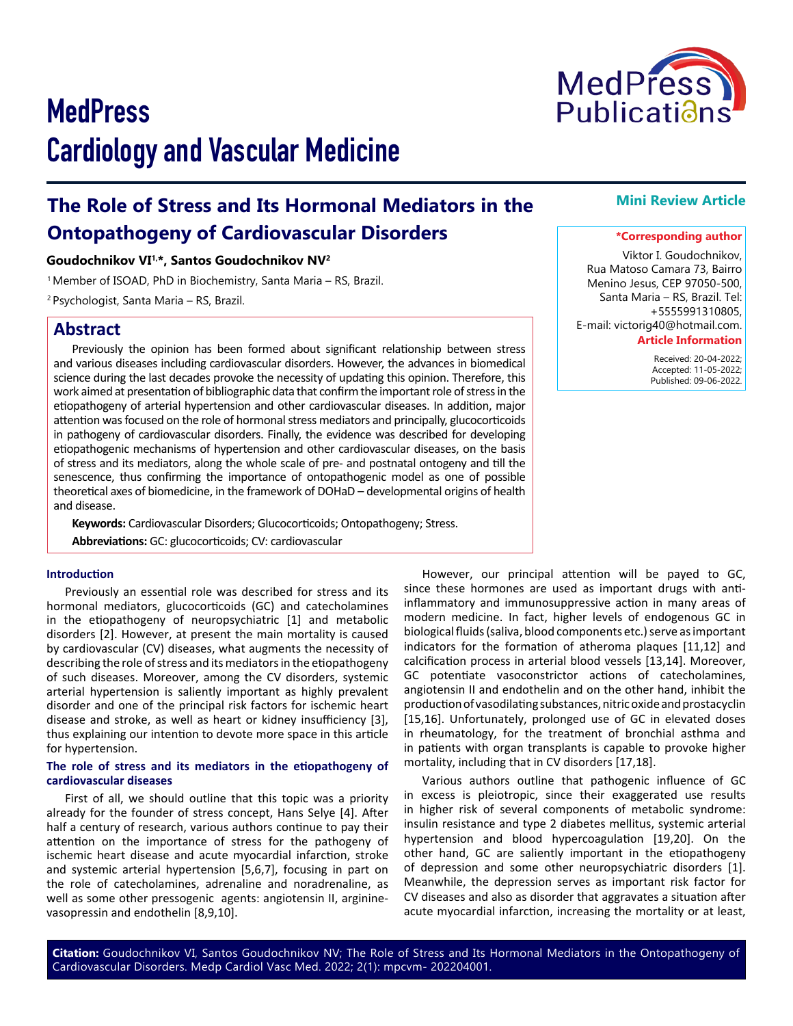# **The Role of Stress and Its Hormonal Mediators in the Ontopathogeny of Cardiovascular Disorders**

## **Goudochnikov VI1,\*, Santos Goudochnikov NV2**

<sup>1</sup> Member of ISOAD, PhD in Biochemistry, Santa Maria – RS, Brazil. 2 Psychologist, Santa Maria – RS, Brazil.

# **Abstract**

Previously the opinion has been formed about significant relationship between stress and various diseases including cardiovascular disorders. However, the advances in biomedical science during the last decades provoke the necessity of updating this opinion. Therefore, this work aimed at presentation of bibliographic data that confirm the important role of stress in the etiopathogeny of arterial hypertension and other cardiovascular diseases. In addition, major attention was focused on the role of hormonal stress mediators and principally, glucocorticoids in pathogeny of cardiovascular disorders. Finally, the evidence was described for developing etiopathogenic mechanisms of hypertension and other cardiovascular diseases, on the basis of stress and its mediators, along the whole scale of pre- and postnatal ontogeny and till the senescence, thus confirming the importance of ontopathogenic model as one of possible theoretical axes of biomedicine, in the framework of DOHaD – developmental origins of health and disease.

**Keywords:** Cardiovascular Disorders; Glucocorticoids; Ontopathogeny; Stress.

**Abbreviations:** GC: glucocorticoids; CV: cardiovascular

## **Introduction**

Previously an essential role was described for stress and its hormonal mediators, glucocorticoids (GC) and catecholamines in the etiopathogeny of neuropsychiatric [1] and metabolic disorders [2]. However, at present the main mortality is caused by cardiovascular (CV) diseases, what augments the necessity of describing the role of stress and its mediators in the etiopathogeny of such diseases. Moreover, among the CV disorders, systemic arterial hypertension is saliently important as highly prevalent disorder and one of the principal risk factors for ischemic heart disease and stroke, as well as heart or kidney insufficiency [3], thus explaining our intention to devote more space in this article for hypertension.

#### **The role of stress and its mediators in the etiopathogeny of cardiovascular diseases**

First of all, we should outline that this topic was a priority already for the founder of stress concept, Hans Selye [4]. After half a century of research, various authors continue to pay their attention on the importance of stress for the pathogeny of ischemic heart disease and acute myocardial infarction, stroke and systemic arterial hypertension [5,6,7], focusing in part on the role of catecholamines, adrenaline and noradrenaline, as well as some other pressogenic agents: angiotensin II, argininevasopressin and endothelin [8,9,10].

#### However, our principal attention will be payed to GC, since these hormones are used as important drugs with antiinflammatory and immunosuppressive action in many areas of modern medicine. In fact, higher levels of endogenous GC in biological fluids (saliva, blood components etc.) serve as important indicators for the formation of atheroma plaques [11,12] and calcification process in arterial blood vessels [13,14]. Moreover, GC potentiate vasoconstrictor actions of catecholamines, angiotensin II and endothelin and on the other hand, inhibit the production of vasodilating substances, nitric oxide and prostacyclin [15,16]. Unfortunately, prolonged use of GC in elevated doses in rheumatology, for the treatment of bronchial asthma and in patients with organ transplants is capable to provoke higher mortality, including that in CV disorders [17,18].

Various authors outline that pathogenic influence of GC in excess is pleiotropic, since their exaggerated use results in higher risk of several components of metabolic syndrome: insulin resistance and type 2 diabetes mellitus, systemic arterial hypertension and blood hypercoagulation [19,20]. On the other hand, GC are saliently important in the etiopathogeny of depression and some other neuropsychiatric disorders [1]. Meanwhile, the depression serves as important risk factor for CV diseases and also as disorder that aggravates a situation after acute myocardial infarction, increasing the mortality or at least,

**Citation:** Goudochnikov VI, Santos Goudochnikov NV; The Role of Stress and Its Hormonal Mediators in the Ontopathogeny of Cardiovascular Disorders. Medp Cardiol Vasc Med. 2022; 2(1): mpcvm- 202204001.

# **Mini Review Article**

## **\*Corresponding author**

Viktor I. Goudochnikov, Rua Matoso Camara 73, Bairro Menino Jesus, CEP 97050-500, Santa Maria – RS, Brazil. Tel: +5555991310805, E-mail: victorig40@hotmail.com.

#### **Article Information**

 Received: 20-04-2022; Accepted: 11-05-2022; Published: 09-06-2022.

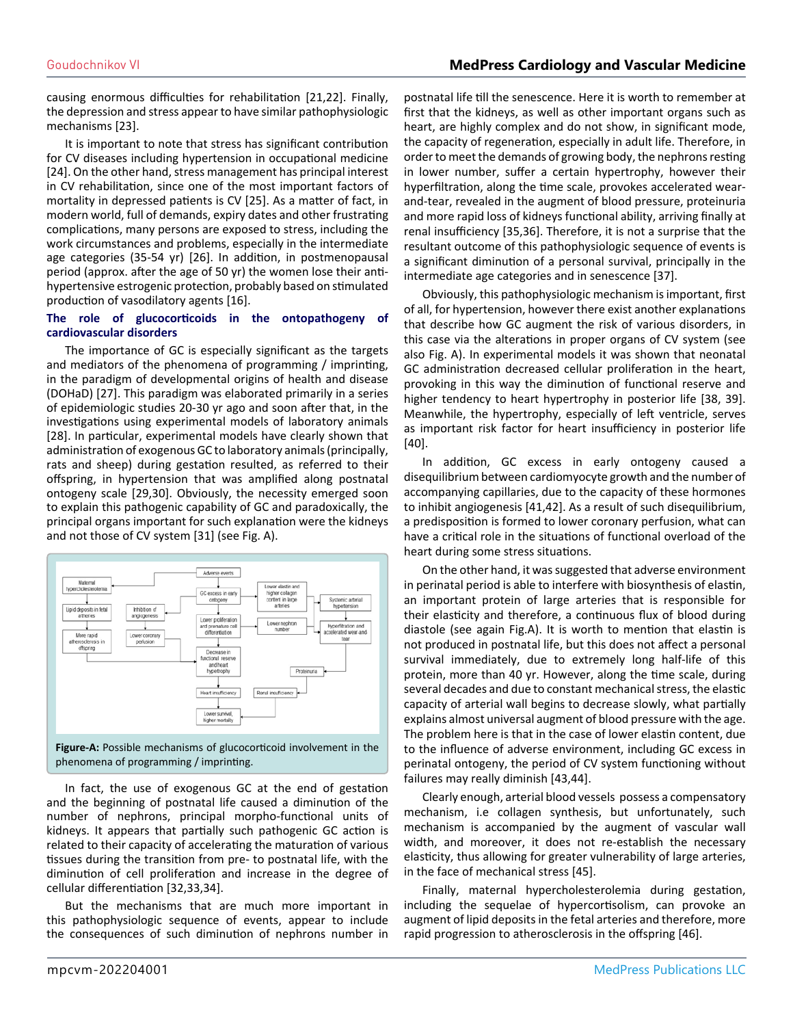causing enormous difficulties for rehabilitation [21,22]. Finally, the depression and stress appear to have similar pathophysiologic mechanisms [23].

It is important to note that stress has significant contribution for CV diseases including hypertension in occupational medicine [24]. On the other hand, stress management has principal interest in CV rehabilitation, since one of the most important factors of mortality in depressed patients is CV [25]. As a matter of fact, in modern world, full of demands, expiry dates and other frustrating complications, many persons are exposed to stress, including the work circumstances and problems, especially in the intermediate age categories (35-54 yr) [26]. In addition, in postmenopausal period (approx. after the age of 50 yr) the women lose their antihypertensive estrogenic protection, probably based on stimulated production of vasodilatory agents [16].

#### **The role of glucocorticoids in the ontopathogeny of cardiovascular disorders**

The importance of GC is especially significant as the targets and mediators of the phenomena of programming / imprinting, in the paradigm of developmental origins of health and disease (DOHaD) [27]. This paradigm was elaborated primarily in a series of epidemiologic studies 20-30 yr ago and soon after that, in the investigations using experimental models of laboratory animals [28]. In particular, experimental models have clearly shown that administration of exogenous GC to laboratory animals (principally, rats and sheep) during gestation resulted, as referred to their offspring, in hypertension that was amplified along postnatal ontogeny scale [29,30]. Obviously, the necessity emerged soon to explain this pathogenic capability of GC and paradoxically, the principal organs important for such explanation were the kidneys and not those of CV system [31] (see Fig. A).



**Figure-A:** Possible mechanisms of glucocorticoid involvement in the phenomena of programming / imprinting.

In fact, the use of exogenous GC at the end of gestation and the beginning of postnatal life caused a diminution of the number of nephrons, principal morpho-functional units of kidneys. It appears that partially such pathogenic GC action is related to their capacity of accelerating the maturation of various tissues during the transition from pre- to postnatal life, with the diminution of cell proliferation and increase in the degree of cellular differentiation [32,33,34].

But the mechanisms that are much more important in this pathophysiologic sequence of events, appear to include the consequences of such diminution of nephrons number in postnatal life till the senescence. Here it is worth to remember at first that the kidneys, as well as other important organs such as heart, are highly complex and do not show, in significant mode, the capacity of regeneration, especially in adult life. Therefore, in order to meet the demands of growing body, the nephrons resting in lower number, suffer a certain hypertrophy, however their hyperfiltration, along the time scale, provokes accelerated wearand-tear, revealed in the augment of blood pressure, proteinuria and more rapid loss of kidneys functional ability, arriving finally at renal insufficiency [35,36]. Therefore, it is not a surprise that the resultant outcome of this pathophysiologic sequence of events is a significant diminution of a personal survival, principally in the intermediate age categories and in senescence [37].

Obviously, this pathophysiologic mechanism is important, first of all, for hypertension, however there exist another explanations that describe how GC augment the risk of various disorders, in this case via the alterations in proper organs of CV system (see also Fig. A). In experimental models it was shown that neonatal GC administration decreased cellular proliferation in the heart, provoking in this way the diminution of functional reserve and higher tendency to heart hypertrophy in posterior life [38, 39]. Meanwhile, the hypertrophy, especially of left ventricle, serves as important risk factor for heart insufficiency in posterior life [40].

In addition, GC excess in early ontogeny caused a disequilibrium between cardiomyocyte growth and the number of accompanying capillaries, due to the capacity of these hormones to inhibit angiogenesis [41,42]. As a result of such disequilibrium, a predisposition is formed to lower coronary perfusion, what can have a critical role in the situations of functional overload of the heart during some stress situations.

On the other hand, it was suggested that adverse environment in perinatal period is able to interfere with biosynthesis of elastin, an important protein of large arteries that is responsible for their elasticity and therefore, a continuous flux of blood during diastole (see again Fig.A). It is worth to mention that elastin is not produced in postnatal life, but this does not affect a personal survival immediately, due to extremely long half-life of this protein, more than 40 yr. However, along the time scale, during several decades and due to constant mechanical stress, the elastic capacity of arterial wall begins to decrease slowly, what partially explains almost universal augment of blood pressure with the age. The problem here is that in the case of lower elastin content, due to the influence of adverse environment, including GC excess in perinatal ontogeny, the period of CV system functioning without failures may really diminish [43,44].

Clearly enough, arterial blood vessels possess a compensatory mechanism, i.e collagen synthesis, but unfortunately, such mechanism is accompanied by the augment of vascular wall width, and moreover, it does not re-establish the necessary elasticity, thus allowing for greater vulnerability of large arteries, in the face of mechanical stress [45].

Finally, maternal hypercholesterolemia during gestation, including the sequelae of hypercortisolism, can provoke an augment of lipid deposits in the fetal arteries and therefore, more rapid progression to atherosclerosis in the offspring [46].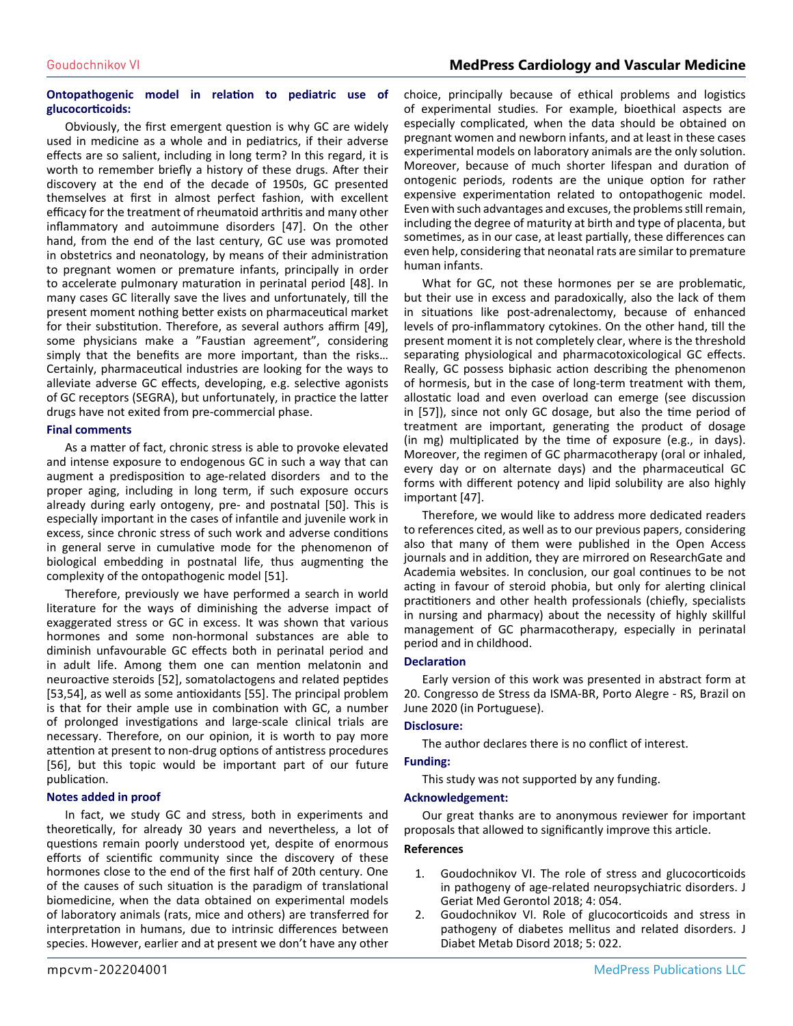## Goudochnikov VI **MedPress Cardiology and Vascular Medicine**

## **Ontopathogenic model in relation to pediatric use of glucocorticoids:**

Obviously, the first emergent question is why GC are widely used in medicine as a whole and in pediatrics, if their adverse effects are so salient, including in long term? In this regard, it is worth to remember briefly a history of these drugs. After their discovery at the end of the decade of 1950s, GC presented themselves at first in almost perfect fashion, with excellent efficacy for the treatment of rheumatoid arthritis and many other inflammatory and autoimmune disorders [47]. On the other hand, from the end of the last century, GC use was promoted in obstetrics and neonatology, by means of their administration to pregnant women or premature infants, principally in order to accelerate pulmonary maturation in perinatal period [48]. In many cases GC literally save the lives and unfortunately, till the present moment nothing better exists on pharmaceutical market for their substitution. Therefore, as several authors affirm [49], some physicians make a "Faustian agreement", considering simply that the benefits are more important, than the risks… Certainly, pharmaceutical industries are looking for the ways to alleviate adverse GC effects, developing, e.g. selective agonists of GC receptors (SEGRA), but unfortunately, in practice the latter drugs have not exited from pre-commercial phase.

#### **Final comments**

As a matter of fact, chronic stress is able to provoke elevated and intense exposure to endogenous GC in such a way that can augment a predisposition to age-related disorders and to the proper aging, including in long term, if such exposure occurs already during early ontogeny, pre- and postnatal [50]. This is especially important in the cases of infantile and juvenile work in excess, since chronic stress of such work and adverse conditions in general serve in cumulative mode for the phenomenon of biological embedding in postnatal life, thus augmenting the complexity of the ontopathogenic model [51].

Therefore, previously we have performed a search in world literature for the ways of diminishing the adverse impact of exaggerated stress or GC in excess. It was shown that various hormones and some non-hormonal substances are able to diminish unfavourable GC effects both in perinatal period and in adult life. Among them one can mention melatonin and neuroactive steroids [52], somatolactogens and related peptides [53,54], as well as some antioxidants [55]. The principal problem is that for their ample use in combination with GC, a number of prolonged investigations and large-scale clinical trials are necessary. Therefore, on our opinion, it is worth to pay more attention at present to non-drug options of antistress procedures [56], but this topic would be important part of our future publication.

## **Notes added in proof**

In fact, we study GC and stress, both in experiments and theoretically, for already 30 years and nevertheless, a lot of questions remain poorly understood yet, despite of enormous efforts of scientific community since the discovery of these hormones close to the end of the first half of 20th century. One of the causes of such situation is the paradigm of translational biomedicine, when the data obtained on experimental models of laboratory animals (rats, mice and others) are transferred for interpretation in humans, due to intrinsic differences between species. However, earlier and at present we don't have any other choice, principally because of ethical problems and logistics of experimental studies. For example, bioethical aspects are especially complicated, when the data should be obtained on pregnant women and newborn infants, and at least in these cases experimental models on laboratory animals are the only solution. Moreover, because of much shorter lifespan and duration of ontogenic periods, rodents are the unique option for rather expensive experimentation related to ontopathogenic model. Even with such advantages and excuses, the problems still remain, including the degree of maturity at birth and type of placenta, but sometimes, as in our case, at least partially, these differences can even help, considering that neonatal rats are similar to premature human infants.

What for GC, not these hormones per se are problematic, but their use in excess and paradoxically, also the lack of them in situations like post-adrenalectomy, because of enhanced levels of pro-inflammatory cytokines. On the other hand, till the present moment it is not completely clear, where is the threshold separating physiological and pharmacotoxicological GC effects. Really, GC possess biphasic action describing the phenomenon of hormesis, but in the case of long-term treatment with them, allostatic load and even overload can emerge (see discussion in [57]), since not only GC dosage, but also the time period of treatment are important, generating the product of dosage (in mg) multiplicated by the time of exposure (e.g., in days). Moreover, the regimen of GC pharmacotherapy (oral or inhaled, every day or on alternate days) and the pharmaceutical GC forms with different potency and lipid solubility are also highly important [47].

Therefore, we would like to address more dedicated readers to references cited, as well as to our previous papers, considering also that many of them were published in the Open Access journals and in addition, they are mirrored on ResearchGate and Academia websites. In conclusion, our goal continues to be not acting in favour of steroid phobia, but only for alerting clinical practitioners and other health professionals (chiefly, specialists in nursing and pharmacy) about the necessity of highly skillful management of GC pharmacotherapy, especially in perinatal period and in childhood.

## **Declaration**

Early version of this work was presented in abstract form at 20. Congresso de Stress da ISMA-BR, Porto Alegre - RS, Brazil on June 2020 (in Portuguese).

#### **Disclosure:**

The author declares there is no conflict of interest.

## **Funding:**

This study was not supported by any funding.

#### **Acknowledgement:**

Our great thanks are to anonymous reviewer for important proposals that allowed to significantly improve this article.

## **References**

- 1. [Goudochnikov VI. The role of stress and glucocorticoids](https://clinmedjournals.org/articles/jgmg/journal-of-geriatric-medicine-and-gerontology-jgmg-4-054.php)  [in pathogeny of age-related neuropsychiatric disorders. J](https://clinmedjournals.org/articles/jgmg/journal-of-geriatric-medicine-and-gerontology-jgmg-4-054.php)  [Geriat Med Gerontol 2018; 4: 054.](https://clinmedjournals.org/articles/jgmg/journal-of-geriatric-medicine-and-gerontology-jgmg-4-054.php)
- 2. [Goudochnikov VI. Role of glucocorticoids and stress in](https://www.heraldopenaccess.us/openaccess/role-of-glucocorticoids-and-stress-in-pathogeny-of-diabetes-mellitus-and-related-disorders)  [pathogeny of diabetes mellitu](https://www.heraldopenaccess.us/openaccess/role-of-glucocorticoids-and-stress-in-pathogeny-of-diabetes-mellitus-and-related-disorders)s and related disorders. J [Diabet Metab Disord 2018; 5: 022.](https://www.heraldopenaccess.us/openaccess/role-of-glucocorticoids-and-stress-in-pathogeny-of-diabetes-mellitus-and-related-disorders)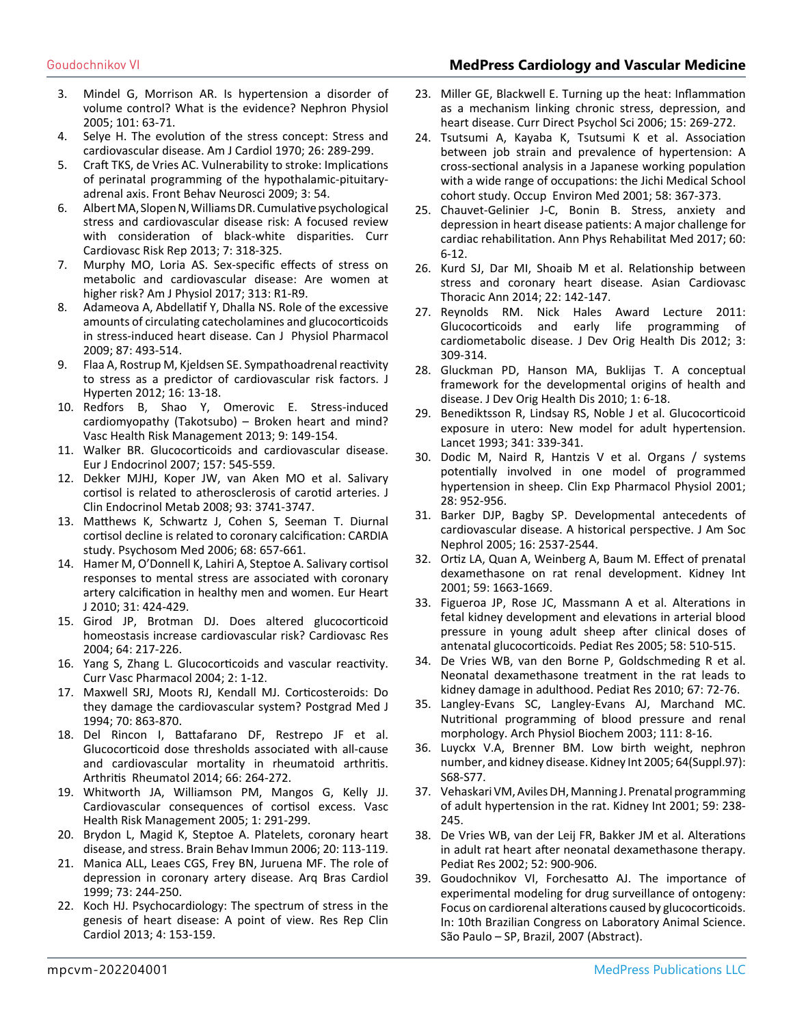# Goudochnikov VI **MedPress Cardiology and Vascular Medicine**

- 3. [Mindel G, Morrison AR. Is hypertension a disorder of](https://pubmed.ncbi.nlm.nih.gov/16020937/)  [volume control? What is the evidence? Nephron Physiol](https://pubmed.ncbi.nlm.nih.gov/16020937/)  [2005; 101: 63-71.](https://pubmed.ncbi.nlm.nih.gov/16020937/)
- 4. [Selye H. The evolution of the stress concept: Stress and](https://pubmed.ncbi.nlm.nih.gov/4990110/)  [cardiovascular disease. Am J Cardiol 1970; 26: 289-299.](https://pubmed.ncbi.nlm.nih.gov/4990110/)
- 5. [Craft TKS, de Vries AC. Vulnerability to stroke: Implications](https://www.ncbi.nlm.nih.gov/pmc/articles/PMC2802556/)  [of perinatal programming of the hypothalamic-pituitary](https://www.ncbi.nlm.nih.gov/pmc/articles/PMC2802556/)[adrenal axis. Front Behav Neurosci 2009; 3: 54.](https://www.ncbi.nlm.nih.gov/pmc/articles/PMC2802556/)
- 6. [Albert MA, Slopen N, Williams DR. Cumulative psychological](https://scholar.harvard.edu/davidrwilliams/publications/cumulative-psychological-stress-and-cardiovascular-disease-risk-focused)  [stress and cardiovascular disease risk: A focused review](https://scholar.harvard.edu/davidrwilliams/publications/cumulative-psychological-stress-and-cardiovascular-disease-risk-focused) [with consideration of black-white disparities. Curr](https://scholar.harvard.edu/davidrwilliams/publications/cumulative-psychological-stress-and-cardiovascular-disease-risk-focused)  [Cardiovasc Risk Rep 2013; 7: 318-325.](https://scholar.harvard.edu/davidrwilliams/publications/cumulative-psychological-stress-and-cardiovascular-disease-risk-focused)
- 7. [Murphy MO, Loria AS. Sex-specific effects of stress on](https://pubmed.ncbi.nlm.nih.gov/28468942/)  [metabolic and cardiovascular disease: Are women at](https://pubmed.ncbi.nlm.nih.gov/28468942/)  [higher risk? Am J Physiol 2017; 313: R1-R9.](https://pubmed.ncbi.nlm.nih.gov/28468942/)
- 8. [Adameova A, Abdellatif Y, Dhalla NS. Role of the excessive](https://pubmed.ncbi.nlm.nih.gov/19767873/#:~:text=Low concentrations of catecholamines stimulate,intracellular Ca2%2B overload in cardiomyocytes.) [amounts of circulating catecholamines and glucocorticoids](https://pubmed.ncbi.nlm.nih.gov/19767873/#:~:text=Low concentrations of catecholamines stimulate,intracellular Ca2%2B overload in cardiomyocytes.)  [in stress-induced heart disease. Can J Physiol Pharmacol](https://pubmed.ncbi.nlm.nih.gov/19767873/#:~:text=Low concentrations of catecholamines stimulate,intracellular Ca2%2B overload in cardiomyocytes.)  [2009; 87: 493-514.](https://pubmed.ncbi.nlm.nih.gov/19767873/#:~:text=Low concentrations of catecholamines stimulate,intracellular Ca2%2B overload in cardiomyocytes.)
- 9. [Flaa A, Rostrup M, Kjeldsen SE. Sympathoadrenal reactivity](https://link.springer.com/chapter/10.1007/978-3-319-75310-2_33) [to stress as a predictor of cardiovascular risk factors. J](https://link.springer.com/chapter/10.1007/978-3-319-75310-2_33)  [Hyperten 2012; 16: 13-18.](https://link.springer.com/chapter/10.1007/978-3-319-75310-2_33)
- 10. [Redfors B, Shao Y, Omerovic E. Stress-induced](https://pubmed.ncbi.nlm.nih.gov/23626469/)  [cardiomyopathy \(Takotsubo\) – Broken heart and mind?](https://pubmed.ncbi.nlm.nih.gov/23626469/)  [Vasc Health Risk Management 2013; 9: 149-154.](https://pubmed.ncbi.nlm.nih.gov/23626469/)
- 11. [Walker BR. Glucocorticoids and cardiovascular disease.](https://pubmed.ncbi.nlm.nih.gov/17984234/)  [Eur J Endocrinol 2007; 157: 545-559.](https://pubmed.ncbi.nlm.nih.gov/17984234/)
- 12. [Dekker MJHJ, Koper JW, van Aken MO et al. Salivary](https://pubmed.ncbi.nlm.nih.gov/18682510/)  [cortisol is related to atherosclerosis of carotid arteries. J](https://pubmed.ncbi.nlm.nih.gov/18682510/)  [Clin Endocrinol Metab 2008; 93: 3741-3747.](https://pubmed.ncbi.nlm.nih.gov/18682510/)
- 13. [Matthews K, Schwartz J, Cohen S, Seeman T. Diurnal](https://pubmed.ncbi.nlm.nih.gov/17012518/)  [cortisol decline is related to coronary calcification: CARDIA](https://pubmed.ncbi.nlm.nih.gov/17012518/) [study. Psychosom Med 2006; 68: 657-661.](https://pubmed.ncbi.nlm.nih.gov/17012518/)
- 14. [Hamer M, O'Donnell K, Lahiri A, Steptoe A. Salivary cortisol](https://academic.oup.com/eurheartj/article/31/4/424/415368)  [responses to mental stress are associated with coronary](https://academic.oup.com/eurheartj/article/31/4/424/415368)  [artery calcification in healthy men and women. Eur Heart](https://academic.oup.com/eurheartj/article/31/4/424/415368) [J 2010; 31: 424-429.](https://academic.oup.com/eurheartj/article/31/4/424/415368)
- 15. [Girod JP, Brotman DJ. Does altered glucocorticoid](https://pubmed.ncbi.nlm.nih.gov/15485680/)  [homeostasis increase cardiovascular risk? Cardiovasc Res](https://pubmed.ncbi.nlm.nih.gov/15485680/) [2004; 64: 217-226.](https://pubmed.ncbi.nlm.nih.gov/15485680/)
- 16. [Yang S, Zhang L. Glucocorticoids and vascular reactivity.](https://pubmed.ncbi.nlm.nih.gov/15320828/#:~:text=Glucocorticoids regulate vascular reactivity by,suppress the production of vasodilators.) [Curr Vasc Pharmacol 2004; 2: 1-12.](https://pubmed.ncbi.nlm.nih.gov/15320828/#:~:text=Glucocorticoids regulate vascular reactivity by,suppress the production of vasodilators.)
- 17. Maxwell SRJ, Moots RJ, Kendall MJ. Corticosteroids: Do they damage the cardiovascular system? Postgrad Med J 1994; 70: 863-870.
- 18. [Del Rincon I, Battafarano DF, Restrepo JF et al.](https://pubmed.ncbi.nlm.nih.gov/24504798/)  [Glucocorticoid dose thresholds associated with all-cause](https://pubmed.ncbi.nlm.nih.gov/24504798/)  [and cardiovascular mortality in rheumatoid arthritis.](https://pubmed.ncbi.nlm.nih.gov/24504798/)  [Arthritis Rheumatol 2014; 66: 264-272.](https://pubmed.ncbi.nlm.nih.gov/24504798/)
- 19. [Whitworth JA, Williamson PM, Mangos G, Kelly JJ.](https://www.ncbi.nlm.nih.gov/pmc/articles/PMC1993964/#:~:text=The cardiovascular consequences of cortisol,%2C insulin resistance%2C and dyslipidemia.)  [Cardiovascular consequences of cortisol excess. Vasc](https://www.ncbi.nlm.nih.gov/pmc/articles/PMC1993964/#:~:text=The cardiovascular consequences of cortisol,%2C insulin resistance%2C and dyslipidemia.)  [Health Risk Management 2005; 1: 291-299.](https://www.ncbi.nlm.nih.gov/pmc/articles/PMC1993964/#:~:text=The cardiovascular consequences of cortisol,%2C insulin resistance%2C and dyslipidemia.)
- 20. [Brydon L, Magid K, Steptoe A. Platelets, coronary heart](https://pubmed.ncbi.nlm.nih.gov/16183245/#:~:text=Platelet activation may be a,patients with advanced coronary disease.) [disease, and stress. Brain Behav Immun 2006; 20: 113-119.](https://pubmed.ncbi.nlm.nih.gov/16183245/#:~:text=Platelet activation may be a,patients with advanced coronary disease.)
- 21. Manica ALL, Leaes CGS, Frey BN, Juruena MF. The role of depression in coronary artery disease. Arq Bras Cardiol 1999; 73: 244-250.
- 22. [Koch HJ. Psychocardiology: The spectrum of stress in the](https://www.dovepress.com/psychocardiology-the-spectrum-of-stress-in-the-genesis-of-heart-diseas-peer-reviewed-fulltext-article-RRCC)  [genesis of heart disease: A point of view. Res Rep Clin](https://www.dovepress.com/psychocardiology-the-spectrum-of-stress-in-the-genesis-of-heart-diseas-peer-reviewed-fulltext-article-RRCC)  [Cardiol 2013; 4: 153-159.](https://www.dovepress.com/psychocardiology-the-spectrum-of-stress-in-the-genesis-of-heart-diseas-peer-reviewed-fulltext-article-RRCC)
- 23. [Miller GE, Blackwell E. Turning up the heat: Inflammation](https://journals.sagepub.com/doi/10.1111/j.1467-8721.2006.00450.x)  [as a mechanism linking chronic stress, depression, and](https://journals.sagepub.com/doi/10.1111/j.1467-8721.2006.00450.x)  [heart disease. Curr Direct Psychol Sci 2006; 15: 269-272.](https://journals.sagepub.com/doi/10.1111/j.1467-8721.2006.00450.x)
- 24. [Tsutsumi A, Kayaba K, Tsutsumi K et al. Association](https://pubmed.ncbi.nlm.nih.gov/11351051/)  [between job strain and prevalence of hypertension: A](https://pubmed.ncbi.nlm.nih.gov/11351051/) [cross-sectional analysis in a Japanese working population](https://pubmed.ncbi.nlm.nih.gov/11351051/)  [with a wide range of occupations: the Jichi Medical School](https://pubmed.ncbi.nlm.nih.gov/11351051/)  [cohort study. Occup Environ Med 2001; 58: 367-373.](https://pubmed.ncbi.nlm.nih.gov/11351051/)
- 25. [Chauvet-Gelinier J-C, Bonin B. Stress, anxiety and](https://pubmed.ncbi.nlm.nih.gov/27771272/)  [depression in heart disease patients: A major challenge for](https://pubmed.ncbi.nlm.nih.gov/27771272/)  [cardiac rehabilitation. Ann Phys Rehabilitat Med 2017; 60:](https://pubmed.ncbi.nlm.nih.gov/27771272/) [6-12.](https://pubmed.ncbi.nlm.nih.gov/27771272/)
- 26. [Kurd SJ, Dar MI, Shoaib M et al. Relationship between](https://pubmed.ncbi.nlm.nih.gov/24585783/) [stress and coronary heart disease. Asian Cardiovasc](https://pubmed.ncbi.nlm.nih.gov/24585783/)  [Thoracic Ann 2014; 22: 142-147.](https://pubmed.ncbi.nlm.nih.gov/24585783/)
- 27. Reynolds RM. Nick Hales Award Lecture 2011: Glucocorticoids and early life programming of cardiometabolic disease. J Dev Orig Health Dis 2012; 3: 309-314.
- 28. [Gluckman PD, Hanson MA, Buklijas T. A conceptual](https://pubmed.ncbi.nlm.nih.gov/25142928/#:~:text=In the last decades%2C the,of non%2Dcommunicable chronic diseases.)  [framework for the developmental origins of health and](https://pubmed.ncbi.nlm.nih.gov/25142928/#:~:text=In the last decades%2C the,of non%2Dcommunicable chronic diseases.)  [disease. J Dev Orig Health Dis 2010; 1: 6-18.](https://pubmed.ncbi.nlm.nih.gov/25142928/#:~:text=In the last decades%2C the,of non%2Dcommunicable chronic diseases.)
- 29. [Benediktsson R, Lindsay RS, Noble J et al. Glucocorticoid](https://pubmed.ncbi.nlm.nih.gov/8094115/)  [exposure in utero: New model for adult hypertension.](https://pubmed.ncbi.nlm.nih.gov/8094115/)  [Lancet 1993; 341: 339-341.](https://pubmed.ncbi.nlm.nih.gov/8094115/)
- 30. [Dodic M, Naird R, Hantzis V et al. Organs / systems](https://pubmed.ncbi.nlm.nih.gov/11703404/) [potentially involved in one model of programmed](https://pubmed.ncbi.nlm.nih.gov/11703404/) [hypertension in sheep. Clin Exp Pharmacol Physiol 2001;](https://pubmed.ncbi.nlm.nih.gov/11703404/) [28: 952-956.](https://pubmed.ncbi.nlm.nih.gov/11703404/)
- 31. [Barker DJP, Bagby SP. Developmental antecedents of](https://pubmed.ncbi.nlm.nih.gov/16049070/)  [cardiovascular disease. A historical perspective. J Am Soc](https://pubmed.ncbi.nlm.nih.gov/16049070/)  [Nephrol 2005; 16: 2537-2544.](https://pubmed.ncbi.nlm.nih.gov/16049070/)
- 32. [Ortiz LA, Quan A, Weinberg A, Baum M. Effect of prenatal](https://pubmed.ncbi.nlm.nih.gov/11318936/#:~:text=Conclusions%3A This study shows that,number of nephrons and hypertension.)  [dexamethasone on rat renal development. Kidney Int](https://pubmed.ncbi.nlm.nih.gov/11318936/#:~:text=Conclusions%3A This study shows that,number of nephrons and hypertension.)  [2001; 59: 1663-1669.](https://pubmed.ncbi.nlm.nih.gov/11318936/#:~:text=Conclusions%3A This study shows that,number of nephrons and hypertension.)
- 33. [Figueroa JP, Rose JC, Massmann A et al. Alterations in](https://pubmed.ncbi.nlm.nih.gov/16148065/)  [fetal kidney development and elevations in arterial blood](https://pubmed.ncbi.nlm.nih.gov/16148065/)  [pressure in young adult sheep after clinical doses of](https://pubmed.ncbi.nlm.nih.gov/16148065/)  [antenatal glucocorticoids. Pediat Res 2005; 58: 510-515.](https://pubmed.ncbi.nlm.nih.gov/16148065/)
- 34. [De Vries WB, van den Borne P, Goldschmeding R et al.](https://www.nature.com/articles/pr201013)  [Neonatal dexamethasone treatment in the rat leads to](https://www.nature.com/articles/pr201013)  [kidney damage in adulthood. Pediat Res 2010; 67: 72-76.](https://www.nature.com/articles/pr201013)
- 35. [Langley-Evans SC, Langley-Evans AJ, Marchand MC.](https://pubmed.ncbi.nlm.nih.gov/12715270/)  [Nutritional programming of blood pressure and renal](https://pubmed.ncbi.nlm.nih.gov/12715270/)  [morphology. Arch Physiol Biochem 2003; 111: 8-16.](https://pubmed.ncbi.nlm.nih.gov/12715270/)
- 36. [Luyckx V.A, Brenner BM. Low birth weight, nephron](https://pubmed.ncbi.nlm.nih.gov/16014104/)  [number, and kidney disease. Kidney Int 2005; 64\(Suppl.97\):](https://pubmed.ncbi.nlm.nih.gov/16014104/)  [S68-S77.](https://pubmed.ncbi.nlm.nih.gov/16014104/)
- 37. [Vehaskari VM, Aviles DH, Manning J. Prenatal programming](https://pubmed.ncbi.nlm.nih.gov/11135076/) [of adult hypertension in the rat. Kidney Int 2001; 59: 238-](https://pubmed.ncbi.nlm.nih.gov/11135076/) [245.](https://pubmed.ncbi.nlm.nih.gov/11135076/)
- 38. [De Vries WB, van der Leij FR, Bakker JM et al. Alterations](https://pubmed.ncbi.nlm.nih.gov/12438668/)  [in adult rat heart after neonatal dexamethasone therapy.](https://pubmed.ncbi.nlm.nih.gov/12438668/)  [Pediat Res 2002; 52: 900-906.](https://pubmed.ncbi.nlm.nih.gov/12438668/)
- 39. Goudochnikov VI, Forchesatto AJ. The importance of experimental modeling for drug surveillance of ontogeny: Focus on cardiorenal alterations caused by glucocorticoids. In: 10th Brazilian Congress on Laboratory Animal Science. São Paulo – SP, Brazil, 2007 (Abstract).